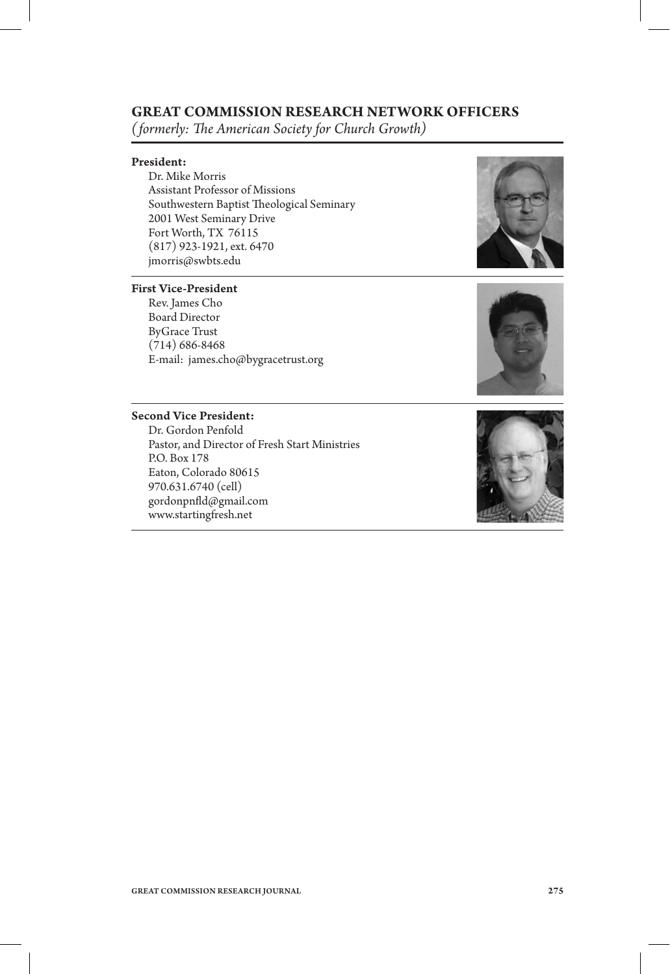#### **GREAT COMMISSION RESEARCH NETWORK OFFICERS**

*(formerly: The American Society for Church Growth)* 

#### President:

Dr. Mike Morris Assistant Professor of Missions Southwestern Baptist Theological Seminary 2001 West Seminary Drive Fort Worth, TX 76115 (817) 923-1921, ext. 6470 jmorris@swbts.edu

#### First Vice-President

Rev. James Cho Board Director ByGrace Trust (714) 686-8468 E-mail: james.cho@bygracetrust.org





#### Second Vice President:

Dr. Gordon Penfold Pastor, and Director of Fresh Start Ministries P.O. Box 178 Eaton, Colorado 80615 970.631.6740 (cell) gordonpnd@gmail.com www.startingfresh.net

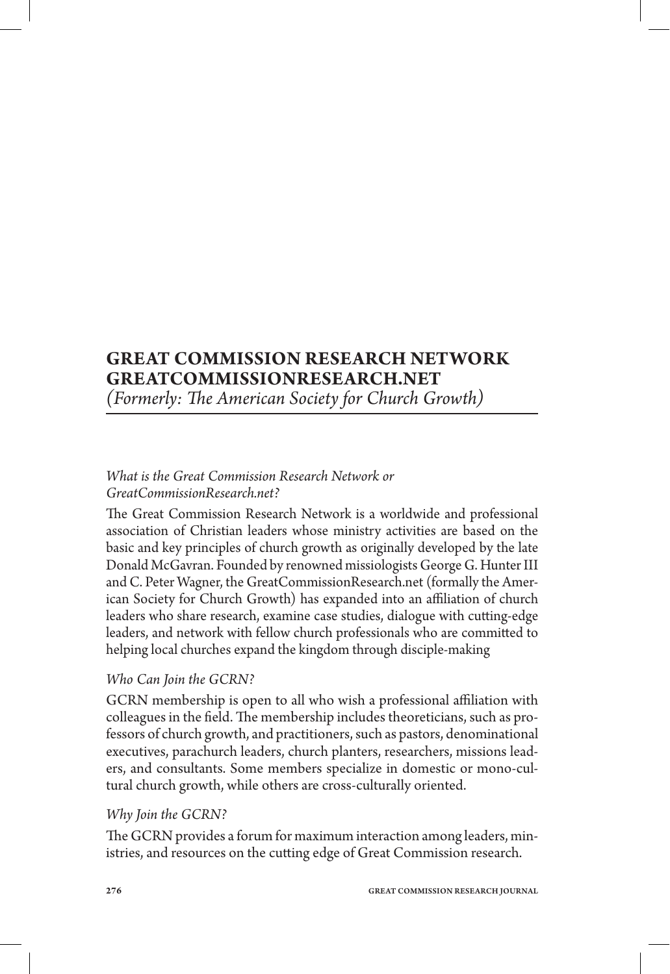## **GREAT COMMISSION RESEARCH NETWORK GREATCOMMISSIONRESEARCH.NET**

*(Formerly: The American Society for Church Growth)* 

## *What is the Great Commission Research Network or GreatCommissionResearch.net?*

The Great Commission Research Network is a worldwide and professional association of Christian leaders whose ministry activities are based on the basic and key principles of church growth as originally developed by the late Donald McGavran. Founded by renowned missiologists George G. Hunter III and C. Peter Wagner, the GreatCommissionResearch.net (formally the American Society for Church Growth) has expanded into an affiliation of church leaders who share research, examine case studies, dialogue with cutting-edge leaders, and network with fellow church professionals who are committed to helping local churches expand the kingdom through disciple-making

#### *Who Can Join the GCRN?*

GCRN membership is open to all who wish a professional affiliation with colleagues in the field. The membership includes theoreticians, such as professors of church growth, and practitioners, such as pastors, denominational executives, parachurch leaders, church planters, researchers, missions leaders, and consultants. Some members specialize in domestic or mono-cultural church growth, while others are cross-culturally oriented.

## *Why Join the GCRN?*

The GCRN provides a forum for maximum interaction among leaders, ministries, and resources on the cutting edge of Great Commission research.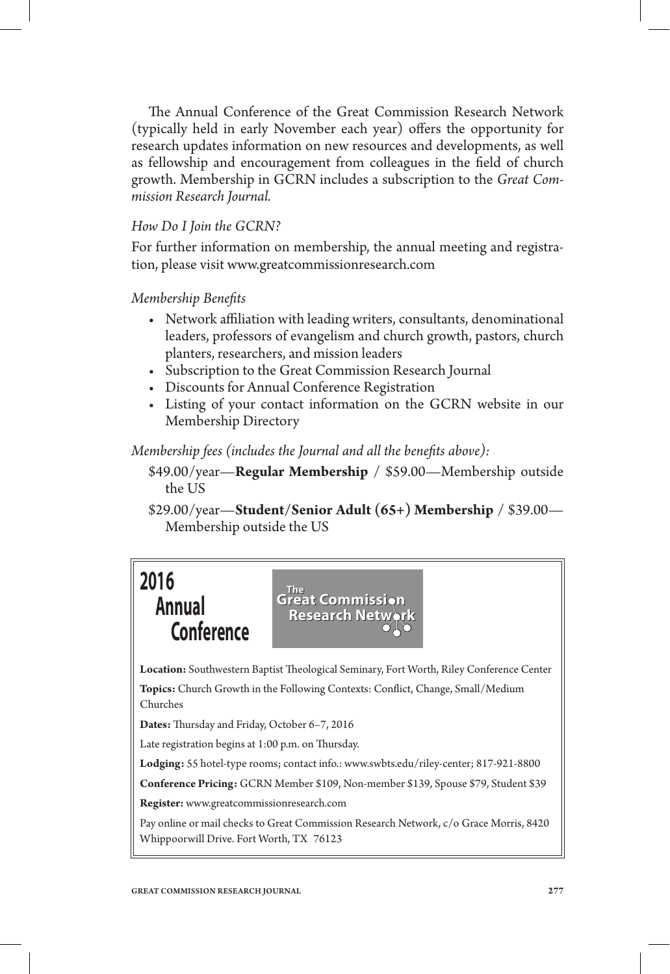The Annual Conference of the Great Commission Research Network (typically held in early November each year) offers the opportunity for research updates information on new resources and developments, as well as fellowship and encouragement from colleagues in the field of church growth. Membership in GCRN includes a subscription to the *Great Commission Research Journal.*

### *How Do I Join the GCRN?*

For further information on membership, the annual meeting and registration, please visit www.greatcommissionresearch.com

*Membership Benets*

- Network affiliation with leading writers, consultants, denominational leaders, professors of evangelism and church growth, pastors, church planters, researchers, and mission leaders
- • Subscription to the Great Commission Research Journal
- • Discounts for Annual Conference Registration
- Listing of your contact information on the GCRN website in our Membership Directory

*Membership fees (includes the Journal and all the benefits above):* 

- \$49.00/year—**Regular Membership** / \$59.00—Membership outside the US
- \$29.00/year—**Student/Senior Adult (65+) Membership** / \$39.00— Membership outside the US



Location: Southwestern Baptist Theological Seminary, Fort Worth, Riley Conference Center Topics: Church Growth in the Following Contexts: Conflict, Change, Small/Medium Churches

Dates: Thursday and Friday, October 6-7, 2016

Late registration begins at 1:00 p.m. on Thursday.

**Lodging:** 55 hotel-type rooms; contact info.: www.swbts.edu/riley-center; 817-921-8800

**Conference Pricing:** GCRN Member \$109, Non-member \$139, Spouse \$79, Student \$39

**Register:** www.greatcommissionresearch.com

Pay online or mail checks to Great Commission Research Network, c/o Grace Morris, 8420 Whippoorwill Drive. Fort Worth, TX 76123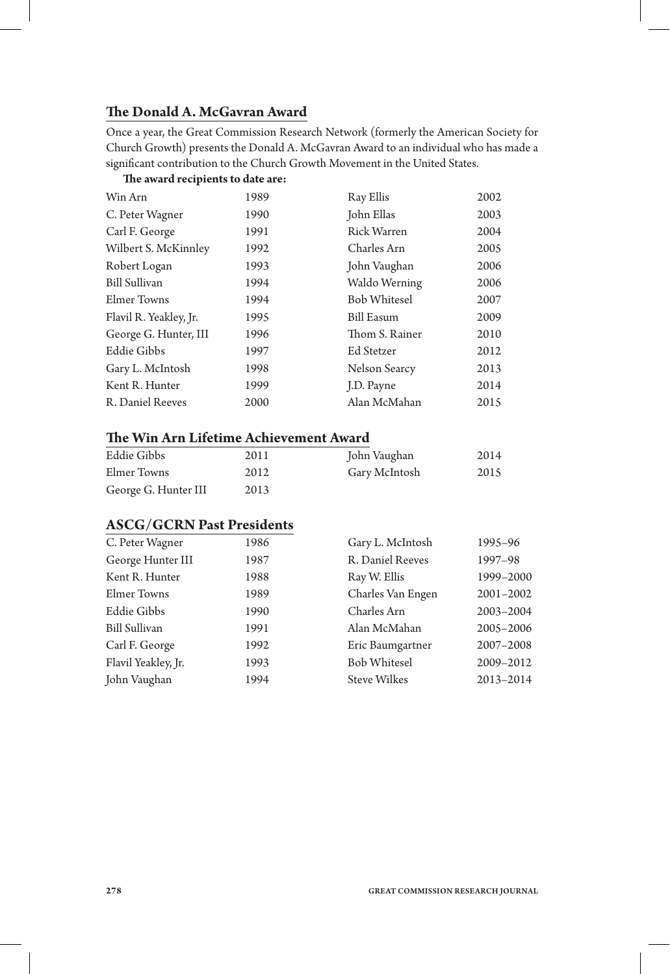## **e Donald A. McGavran Award**

Once a year, the Great Commission Research Network (formerly the American Society for Church Growth) presents the Donald A. McGavran Award to an individual who has made a significant contribution to the Church Growth Movement in the United States.

#### **e award recipients to date are:**

| Win Arn                | 1989 | Ray Ellis           | 2002 |
|------------------------|------|---------------------|------|
| C. Peter Wagner        | 1990 | John Ellas          | 2003 |
| Carl F. George         | 1991 | Rick Warren         | 2004 |
| Wilbert S. McKinnley   | 1992 | Charles Arn         | 2005 |
| Robert Logan           | 1993 | John Vaughan        | 2006 |
| Bill Sullivan          | 1994 | Waldo Werning       | 2006 |
| Elmer Towns            | 1994 | <b>Bob Whitesel</b> | 2007 |
| Flavil R. Yeakley, Jr. | 1995 | <b>Bill Easum</b>   | 2009 |
| George G. Hunter, III  | 1996 | Thom S. Rainer      | 2010 |
| <b>Eddie Gibbs</b>     | 1997 | Ed Stetzer          | 2012 |
| Gary L. McIntosh       | 1998 | Nelson Searcy       | 2013 |
| Kent R. Hunter         | 1999 | J.D. Payne          | 2014 |
| R. Daniel Reeves       | 2000 | Alan McMahan        | 2015 |
|                        |      |                     |      |

#### **e Win Arn Lifetime Achievement Award**

| Eddie Gibbs          | 2011 | John Vaughan  | 2014 |
|----------------------|------|---------------|------|
| Elmer Towns          | 2012 | Gary McIntosh | 2015 |
| George G. Hunter III | 2013 |               |      |

#### **ASCG/GCRN Past Presidents**

| C. Peter Wagner      | 1986 | Gary L. McIntosh    | 1995-96       |
|----------------------|------|---------------------|---------------|
| George Hunter III    | 1987 | R. Daniel Reeves    | 1997-98       |
| Kent R. Hunter       | 1988 | Ray W. Ellis        | 1999-2000     |
| Elmer Towns          | 1989 | Charles Van Engen   | $2001 - 2002$ |
| Eddie Gibbs          | 1990 | Charles Arn         | 2003-2004     |
| <b>Bill Sullivan</b> | 1991 | Alan McMahan        | 2005-2006     |
| Carl F. George       | 1992 | Eric Baumgartner    | 2007-2008     |
| Flavil Yeakley, Jr.  | 1993 | <b>Bob Whitesel</b> | 2009-2012     |
| John Vaughan         | 1994 | <b>Steve Wilkes</b> | 2013-2014     |
|                      |      |                     |               |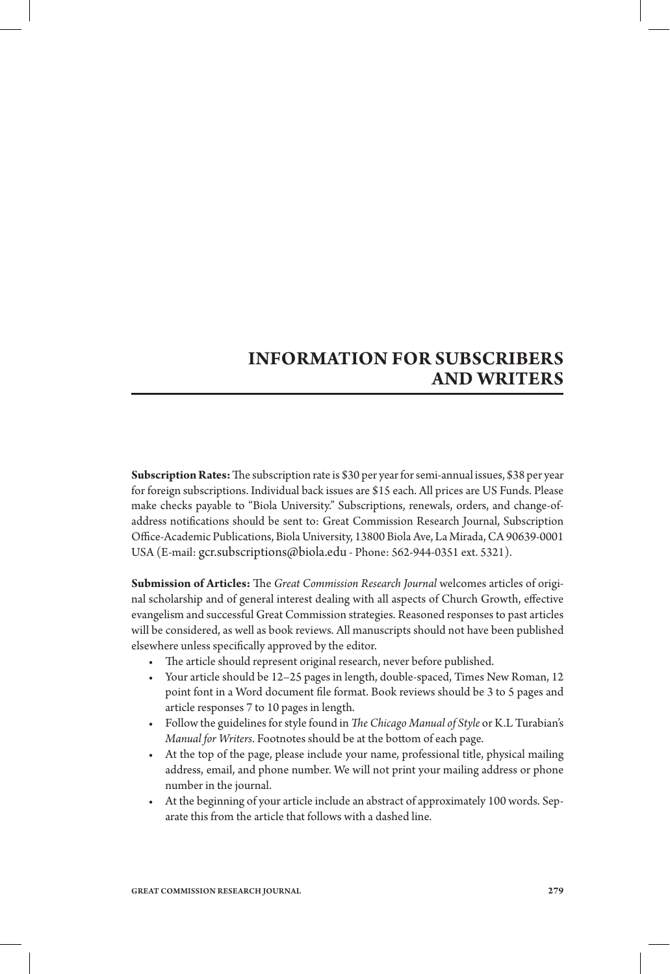## **INFORMATION FOR SUBSCRIBERS AND WRITERS**

**Subscription Rates:** The subscription rate is \$30 per year for semi-annual issues, \$38 per year for foreign subscriptions. Individual back issues are \$15 each. All prices are US Funds. Please make checks payable to "Biola University." Subscriptions, renewals, orders, and change-ofaddress notifications should be sent to: Great Commission Research Journal, Subscription Oce-Academic Publications, Biola University, 13800 Biola Ave, La Mirada, CA 90639-0001 USA (E-mail: gcr.subscriptions@biola.edu - Phone: 562-944-0351 ext. 5321).

**Submission of Articles:** The Great Commission Research Journal welcomes articles of original scholarship and of general interest dealing with all aspects of Church Growth, effective evangelism and successful Great Commission strategies. Reasoned responses to past articles will be considered, as well as book reviews. All manuscripts should not have been published elsewhere unless specifically approved by the editor.

- The article should represent original research, never before published.
- • Your article should be 12–25 pages in length, double-spaced, Times New Roman, 12 point font in a Word document file format. Book reviews should be 3 to 5 pages and article responses 7 to 10 pages in length.
- Follow the guidelines for style found in *The Chicago Manual of Style* or K.L Turabian's *Manual for Writers*. Footnotes should be at the bottom of each page.
- • At the top of the page, please include your name, professional title, physical mailing address, email, and phone number. We will not print your mailing address or phone number in the journal.
- • At the beginning of your article include an abstract of approximately 100 words. Separate this from the article that follows with a dashed line.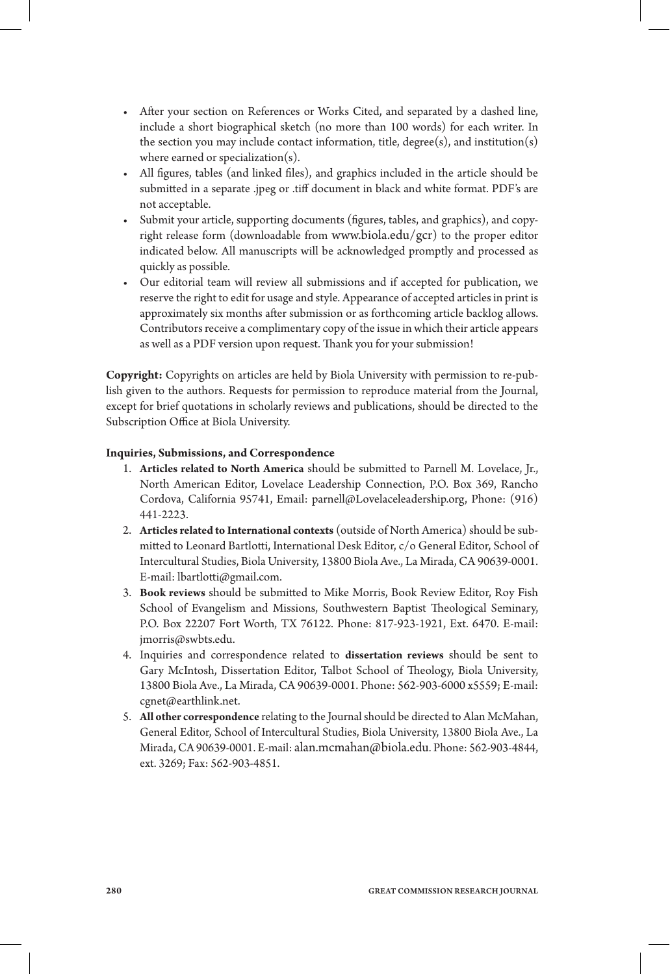- After your section on References or Works Cited, and separated by a dashed line, include a short biographical sketch (no more than 100 words) for each writer. In the section you may include contact information, title,  $degree(s)$ , and institution $(s)$ where earned or specialization(s).
- All figures, tables (and linked files), and graphics included in the article should be submitted in a separate .jpeg or .tiff document in black and white format. PDF's are not acceptable.
- Submit your article, supporting documents (figures, tables, and graphics), and copyright release form (downloadable from www.biola.edu/gcr) to the proper editor indicated below. All manuscripts will be acknowledged promptly and processed as quickly as possible.
- • Our editorial team will review all submissions and if accepted for publication, we reserve the right to edit for usage and style. Appearance of accepted articles in print is approximately six months after submission or as forthcoming article backlog allows. Contributors receive a complimentary copy of the issue in which their article appears as well as a PDF version upon request. Thank you for your submission!

**Copyright:** Copyrights on articles are held by Biola University with permission to re-publish given to the authors. Requests for permission to reproduce material from the Journal, except for brief quotations in scholarly reviews and publications, should be directed to the Subscription Office at Biola University.

#### **Inquiries, Submissions, and Correspondence**

- 1. **Articles related to North America** should be submitted to Parnell M. Lovelace, Jr., North American Editor, Lovelace Leadership Connection, P.O. Box 369, Rancho Cordova, California 95741, Email: parnell@Lovelaceleadership.org, Phone: (916) 441-2223.
- 2. **Articles related to International contexts** (outside of North America) should be submitted to Leonard Bartlotti, International Desk Editor, c/o General Editor, School of Intercultural Studies, Biola University, 13800 Biola Ave., La Mirada, CA 90639-0001. E-mail: lbartlotti@gmail.com.
- 3. Book reviews should be submitted to Mike Morris, Book Review Editor, Roy Fish School of Evangelism and Missions, Southwestern Baptist Theological Seminary, P.O. Box 22207 Fort Worth, TX 76122. Phone: 817-923-1921, Ext. 6470. E-mail: jmorris@swbts.edu.
- 4. Inquiries and correspondence related to **dissertation reviews** should be sent to Gary McIntosh, Dissertation Editor, Talbot School of Theology, Biola University, 13800 Biola Ave., La Mirada, CA 90639-0001. Phone: 562-903-6000 x5559; E-mail: cgnet@earthlink.net.
- 5. **All other correspondence** relating to the Journal should be directed to Alan McMahan, General Editor, School of Intercultural Studies, Biola University, 13800 Biola Ave., La Mirada, CA 90639-0001. E-mail: alan.mcmahan@biola.edu. Phone: 562-903-4844, ext. 3269; Fax: 562-903-4851.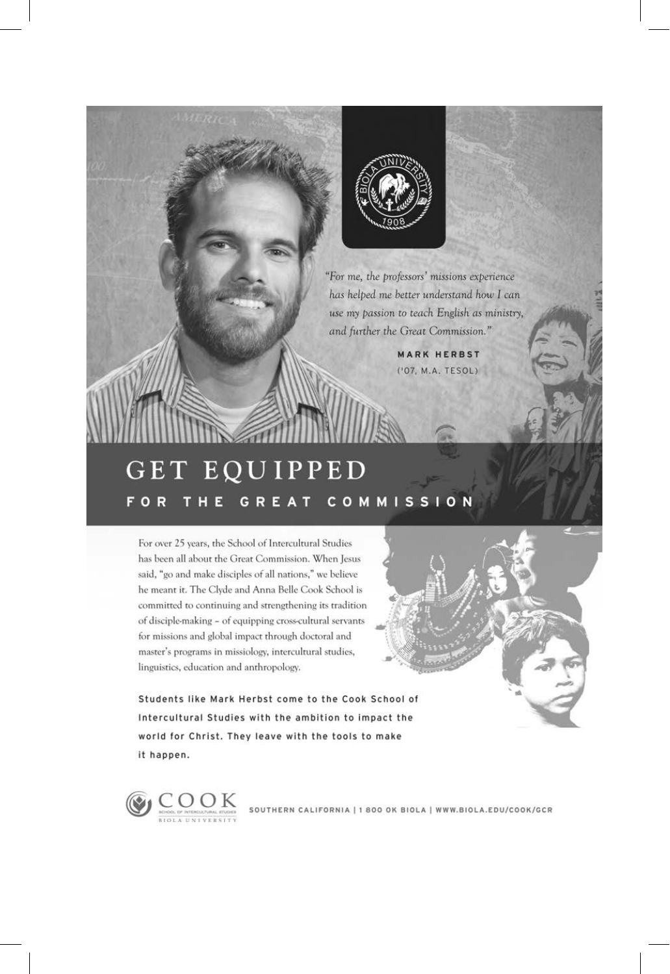

"For me, the professors' missions experience has helped me better understand how I can use my passion to teach English as ministry, and further the Great Commission."

> **MARK HERBST** ('07, M.A. TESOL)

## GET EQUIPPED THE GREAT COMMISSION **FOR**

For over 25 years, the School of Intercultural Studies has been all about the Great Commission. When Jesus said, "go and make disciples of all nations," we believe he meant it. The Clyde and Anna Belle Cook School is committed to continuing and strengthening its tradition of disciple-making - of equipping cross-cultural servants for missions and global impact through doctoral and master's programs in missiology, intercultural studies, linguistics, education and anthropology.

Students like Mark Herbst come to the Cook School of Intercultural Studies with the ambition to impact the world for Christ. They leave with the tools to make it happen.

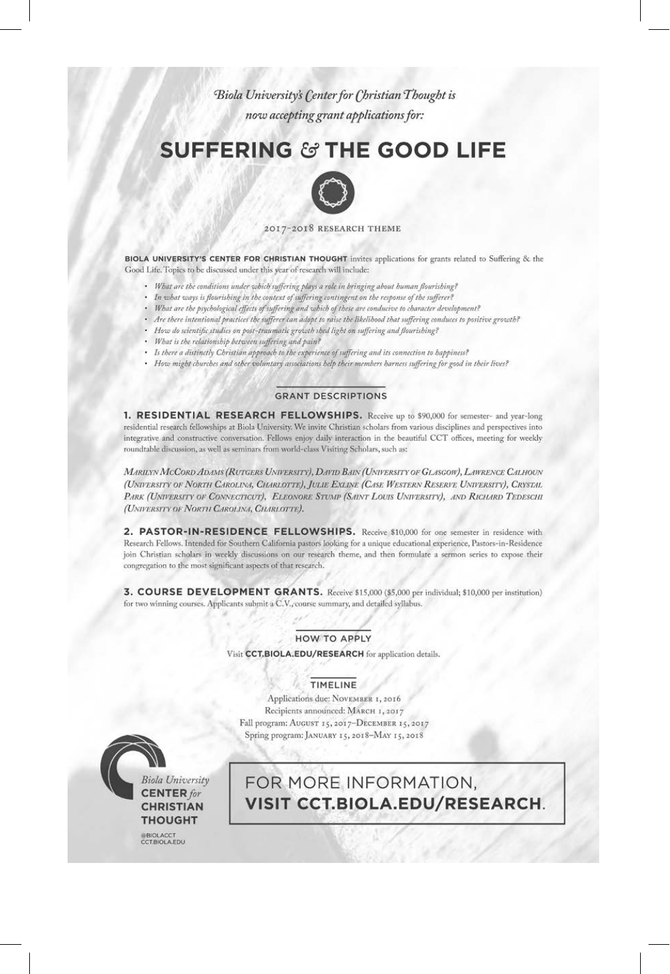Biola University's Center for Christian Thought is now accepting grant applications for:

# **SUFFERING & THE GOOD LIFE**



#### 2017-2018 RESEARCH THEME

BIOLA UNIVERSITY'S CENTER FOR CHRISTIAN THOUGHT invites applications for grants related to Suffering & the Good Life. Topics to be discussed under this year of research will include:

- · What are the conditions under which suffering plays a role in bringing about human flourishing?
- . In what ways is flourishing in the context of suffering contingent on the response of the sufferer?
- · What are the psychological effects of suffering and which of these are conducive to character development?
- Are there intentional practices the sufferer can adopt to raise the likelihood that suffering conduces to positive growth?
- How do scientific studies on post-traumatic growth shed light on suffering and flourishing?
- What is the relationship between suffering and pain?
- · Is there a distinctly Christian approach to the experience of suffering and its connection to happiness?
- · How might churches and other voluntary associations help their members harness suffering for good in their lives?

#### **GRANT DESCRIPTIONS**

1. RESIDENTIAL RESEARCH FELLOWSHIPS. Receive up to \$90,000 for semester- and year-long residential research fellowships at Biola University. We invite Christian scholars from various disciplines and perspectives into integrative and constructive conversation. Fellows enjoy daily interaction in the beautiful CCT offices, meeting for weekly roundtable discussion, as well as seminars from world-class Visiting Scholars, such as:

MARILYN MCCORD ADAMS (RUTGERS UNIVERSITY), DAVID BAIN (UNIVERSITY OF GLASGOW), LAWRENCE CALHOUN (UNIVERSITY OF NORTH CAROLINA, CHARLOTTE), JULIE EXLINE (CASE WESTERN RESERVE UNIVERSITY), CRYSTAL PARK (UNIVERSITY OF CONNECTICUT), ELEONORE STUMP (SAINT LOUIS UNIVERSITY), AND RICHARD TEDESCHI (UNIVERSITY OF NORTH CAROLINA, CHARLOTTE).

2. PASTOR-IN-RESIDENCE FELLOWSHIPS. Receive \$10,000 for one semester in residence with Research Fellows. Intended for Southern California pastors looking for a unique educational experience, Pastors-in-Residence join Christian scholars in weekly discussions on our research theme, and then formulate a sermon series to expose their congregation to the most significant aspects of that research.

3. COURSE DEVELOPMENT GRANTS. Receive \$15,000 (\$5,000 per individual; \$10,000 per institution) for two winning courses. Applicants submit a C.V., course summary, and detailed syllabus.

#### **HOW TO APPLY**

Visit CCT.BIOLA.EDU/RESEARCH for application details

#### TIMELINE

Applications due: NOVEMBER 1, 2016 Recipients announced: MARCH 1, 2017 Fall program: AUGUST 15, 2017-DECEMBER 15, 2017 Spring program: JANUARY 15, 2018-MAY 15, 2018



FOR MORE INFORMATION, VISIT CCT.BIOLA.EDU/RESEARCH.